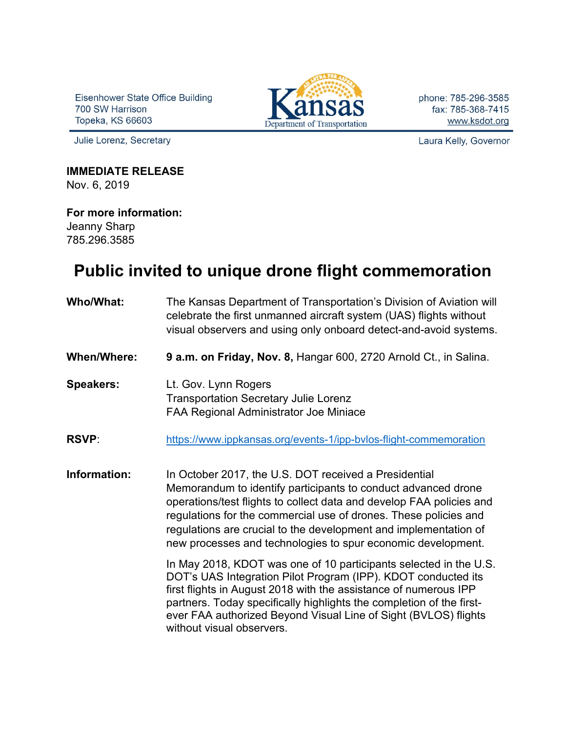Eisenhower State Office Building 700 SW Harrison Topeka, KS 66603

Julie Lorenz, Secretary



phone: 785-296-3585 fax: 785-368-7415 www.ksdot.org

Laura Kelly, Governor

## **IMMEDIATE RELEASE**

Nov. 6, 2019

## **For more information:**

Jeanny Sharp 785.296.3585

## **Public invited to unique drone flight commemoration**

**Who/What:** The Kansas Department of Transportation's Division of Aviation will celebrate the first unmanned aircraft system (UAS) flights without visual observers and using only onboard detect-and-avoid systems. **When/Where: 9 a.m. on Friday, Nov. 8,** Hangar 600, 2720 Arnold Ct., in Salina. **Speakers:** Lt. Gov. Lynn Rogers Transportation Secretary Julie Lorenz FAA Regional Administrator Joe Miniace **RSVP:** https://www.ippkansas.org/events-1/ipp-bylos-flight-commemoration **Information:** In October 2017, the U.S. DOT received a Presidential Memorandum to identify participants to conduct advanced drone operations/test flights to collect data and develop FAA policies and regulations for the commercial use of drones. These policies and regulations are crucial to the development and implementation of new processes and technologies to spur economic development. In May 2018, KDOT was one of 10 participants selected in the U.S. DOT's UAS Integration Pilot Program (IPP). KDOT conducted its first flights in August 2018 with the assistance of numerous IPP partners. Today specifically highlights the completion of the firstever FAA authorized Beyond Visual Line of Sight (BVLOS) flights without visual observers.